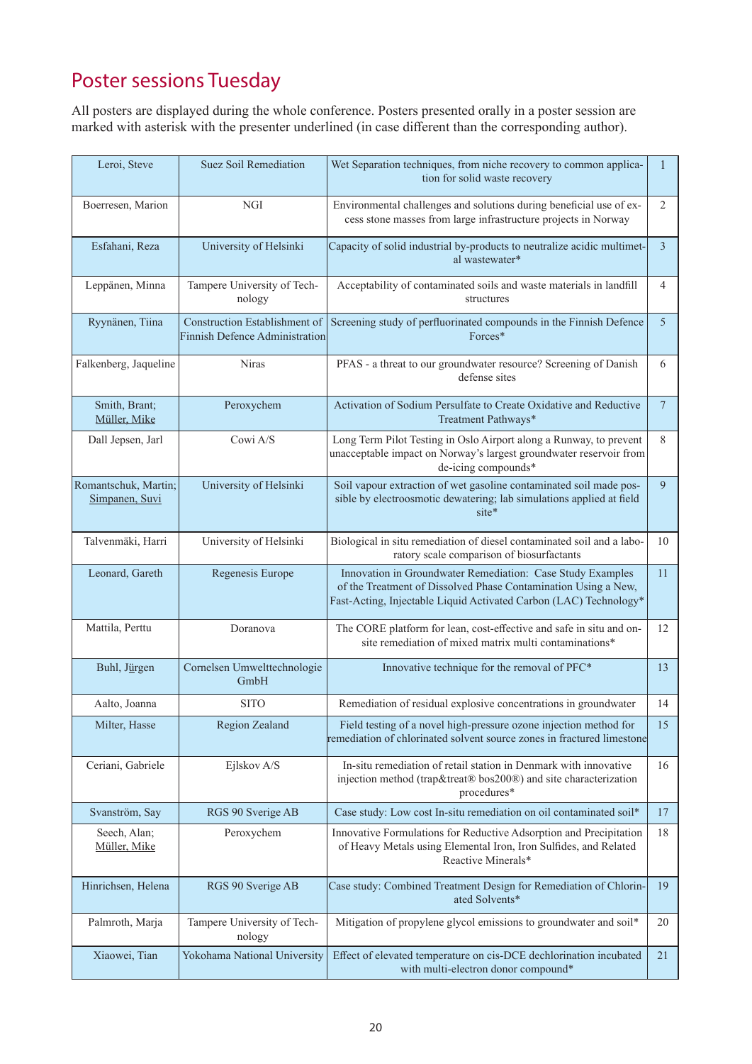## Poster sessions Tuesday

All posters are displayed during the whole conference. Posters presented orally in a poster session are marked with asterisk with the presenter underlined (in case different than the corresponding author).

| Leroi, Steve                           | Suez Soil Remediation                                           | Wet Separation techniques, from niche recovery to common applica-<br>tion for solid waste recovery                                                                                                | 1              |
|----------------------------------------|-----------------------------------------------------------------|---------------------------------------------------------------------------------------------------------------------------------------------------------------------------------------------------|----------------|
| Boerresen, Marion                      | <b>NGI</b>                                                      | Environmental challenges and solutions during beneficial use of ex-<br>cess stone masses from large infrastructure projects in Norway                                                             | 2              |
| Esfahani, Reza                         | University of Helsinki                                          | Capacity of solid industrial by-products to neutralize acidic multimet-<br>al wastewater*                                                                                                         | $\mathfrak{Z}$ |
| Leppänen, Minna                        | Tampere University of Tech-<br>nology                           | Acceptability of contaminated soils and waste materials in landfill<br>structures                                                                                                                 | $\overline{4}$ |
| Ryynänen, Tiina                        | Construction Establishment of<br>Finnish Defence Administration | Screening study of perfluorinated compounds in the Finnish Defence<br>Forces*                                                                                                                     | $\mathfrak{S}$ |
| Falkenberg, Jaqueline                  | <b>Niras</b>                                                    | PFAS - a threat to our groundwater resource? Screening of Danish<br>defense sites                                                                                                                 | 6              |
| Smith, Brant;<br>Müller, Mike          | Peroxychem                                                      | Activation of Sodium Persulfate to Create Oxidative and Reductive<br>Treatment Pathways*                                                                                                          | $\tau$         |
| Dall Jepsen, Jarl                      | Cowi A/S                                                        | Long Term Pilot Testing in Oslo Airport along a Runway, to prevent<br>unacceptable impact on Norway's largest groundwater reservoir from<br>de-icing compounds*                                   | 8              |
| Romantschuk, Martin;<br>Simpanen, Suvi | University of Helsinki                                          | Soil vapour extraction of wet gasoline contaminated soil made pos-<br>sible by electroosmotic dewatering; lab simulations applied at field<br>site*                                               | 9              |
| Talvenmäki, Harri                      | University of Helsinki                                          | Biological in situ remediation of diesel contaminated soil and a labo-<br>ratory scale comparison of biosurfactants                                                                               | 10             |
| Leonard, Gareth                        | Regenesis Europe                                                | Innovation in Groundwater Remediation: Case Study Examples<br>of the Treatment of Dissolved Phase Contamination Using a New,<br>Fast-Acting, Injectable Liquid Activated Carbon (LAC) Technology* | 11             |
| Mattila, Perttu                        | Doranova                                                        | The CORE platform for lean, cost-effective and safe in situ and on-<br>site remediation of mixed matrix multi contaminations*                                                                     | 12             |
| Buhl, Jürgen                           | Cornelsen Umwelttechnologie<br>GmbH                             | Innovative technique for the removal of PFC*                                                                                                                                                      | 13             |
| Aalto, Joanna                          | <b>SITO</b>                                                     | Remediation of residual explosive concentrations in groundwater                                                                                                                                   | 14             |
| Milter, Hasse                          | Region Zealand                                                  | Field testing of a novel high-pressure ozone injection method for<br>remediation of chlorinated solvent source zones in fractured limestone                                                       | 15             |
| Ceriani, Gabriele                      | Ejlskov A/S                                                     | In-situ remediation of retail station in Denmark with innovative<br>injection method (trap&treat® bos200®) and site characterization<br>procedures*                                               | 16             |
| Svanström, Say                         | RGS 90 Sverige AB                                               | Case study: Low cost In-situ remediation on oil contaminated soil*                                                                                                                                | 17             |
| Seech, Alan;<br>Müller, Mike           | Peroxychem                                                      | Innovative Formulations for Reductive Adsorption and Precipitation<br>of Heavy Metals using Elemental Iron, Iron Sulfides, and Related<br>Reactive Minerals*                                      | 18             |
| Hinrichsen, Helena                     | RGS 90 Sverige AB                                               | Case study: Combined Treatment Design for Remediation of Chlorin-<br>ated Solvents*                                                                                                               | 19             |
| Palmroth, Marja                        | Tampere University of Tech-<br>nology                           | Mitigation of propylene glycol emissions to groundwater and soil*                                                                                                                                 | 20             |
| Xiaowei, Tian                          | Yokohama National University                                    | Effect of elevated temperature on cis-DCE dechlorination incubated<br>with multi-electron donor compound*                                                                                         | 21             |